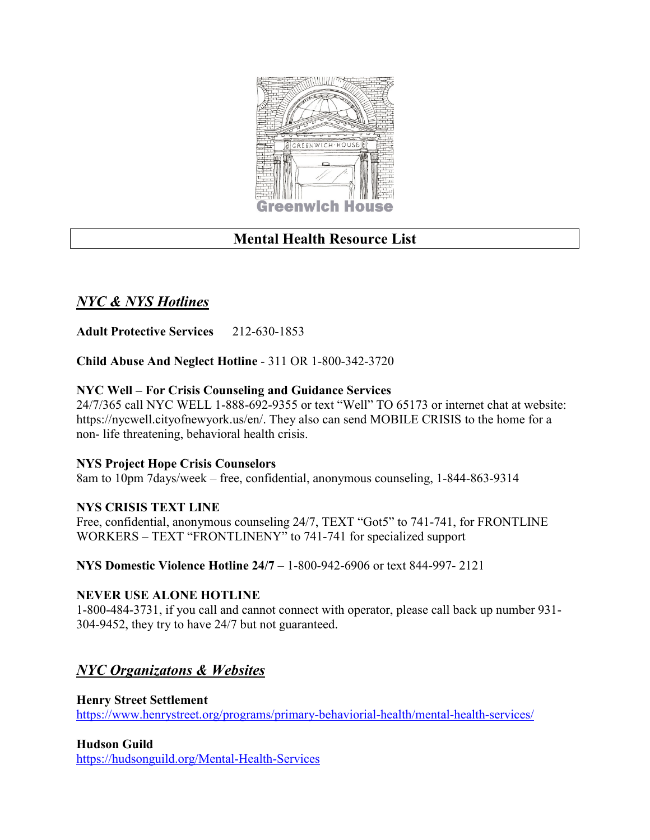

# **Mental Health Resource List**

# *NYC & NYS Hotlines*

**Adult Protective Services** 212-630-1853

**Child Abuse And Neglect Hotline** - 311 OR 1-800-342-3720

### **NYC Well – For Crisis Counseling and Guidance Services**

24/7/365 call NYC WELL 1-888-692-9355 or text "Well" TO 65173 or internet chat at website: https://nycwell.cityofnewyork.us/en/. They also can send MOBILE CRISIS to the home for a non- life threatening, behavioral health crisis.

### **NYS Project Hope Crisis Counselors**

8am to 10pm 7days/week – free, confidential, anonymous counseling, 1-844-863-9314

### **NYS CRISIS TEXT LINE**

Free, confidential, anonymous counseling 24/7, TEXT "Got5" to 741-741, for FRONTLINE WORKERS – TEXT "FRONTLINENY" to 741-741 for specialized support

**NYS Domestic Violence Hotline 24/7** – 1-800-942-6906 or text 844-997- 2121

### **NEVER USE ALONE HOTLINE**

1-800-484-3731, if you call and cannot connect with operator, please call back up number 931- 304-9452, they try to have 24/7 but not guaranteed.

# *NYC Organizatons & Websites*

**Henry Street Settlement** <https://www.henrystreet.org/programs/primary-behaviorial-health/mental-health-services/>

### **Hudson Guild**

<https://hudsonguild.org/Mental-Health-Services>